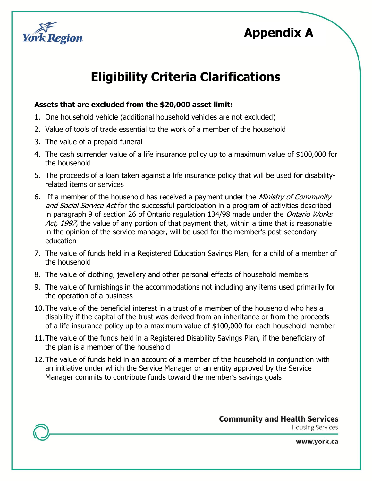

## **Appendix A**

# **Eligibility Criteria Clarifications**

#### **Assets that are excluded from the \$20,000 asset limit:**

- 1. One household vehicle (additional household vehicles are not excluded)
- 2. Value of tools of trade essential to the work of a member of the household
- 3. The value of a prepaid funeral
- 4. The cash surrender value of a life insurance policy up to a maximum value of \$100,000 for the household
- 5. The proceeds of a loan taken against a life insurance policy that will be used for disabilityrelated items or services
- 6. If a member of the household has received a payment under the Ministry of Community and Social Service Act for the successful participation in a program of activities described in paragraph 9 of section 26 of Ontario regulation 134/98 made under the *Ontario Works* Act, 1997, the value of any portion of that payment that, within a time that is reasonable in the opinion of the service manager, will be used for the member's post-secondary education
- 7. The value of funds held in a Registered Education Savings Plan, for a child of a member of the household
- 8. The value of clothing, jewellery and other personal effects of household members
- 9. The value of furnishings in the accommodations not including any items used primarily for the operation of a business
- 10.The value of the beneficial interest in a trust of a member of the household who has a disability if the capital of the trust was derived from an inheritance or from the proceeds of a life insurance policy up to a maximum value of \$100,000 for each household member
- 11.The value of the funds held in a Registered Disability Savings Plan, if the beneficiary of the plan is a member of the household
- 12.The value of funds held in an account of a member of the household in conjunction with an initiative under which the Service Manager or an entity approved by the Service Manager commits to contribute funds toward the member's savings goals

**Community and Health Services** 

**Housing Services** 

www.york.ca